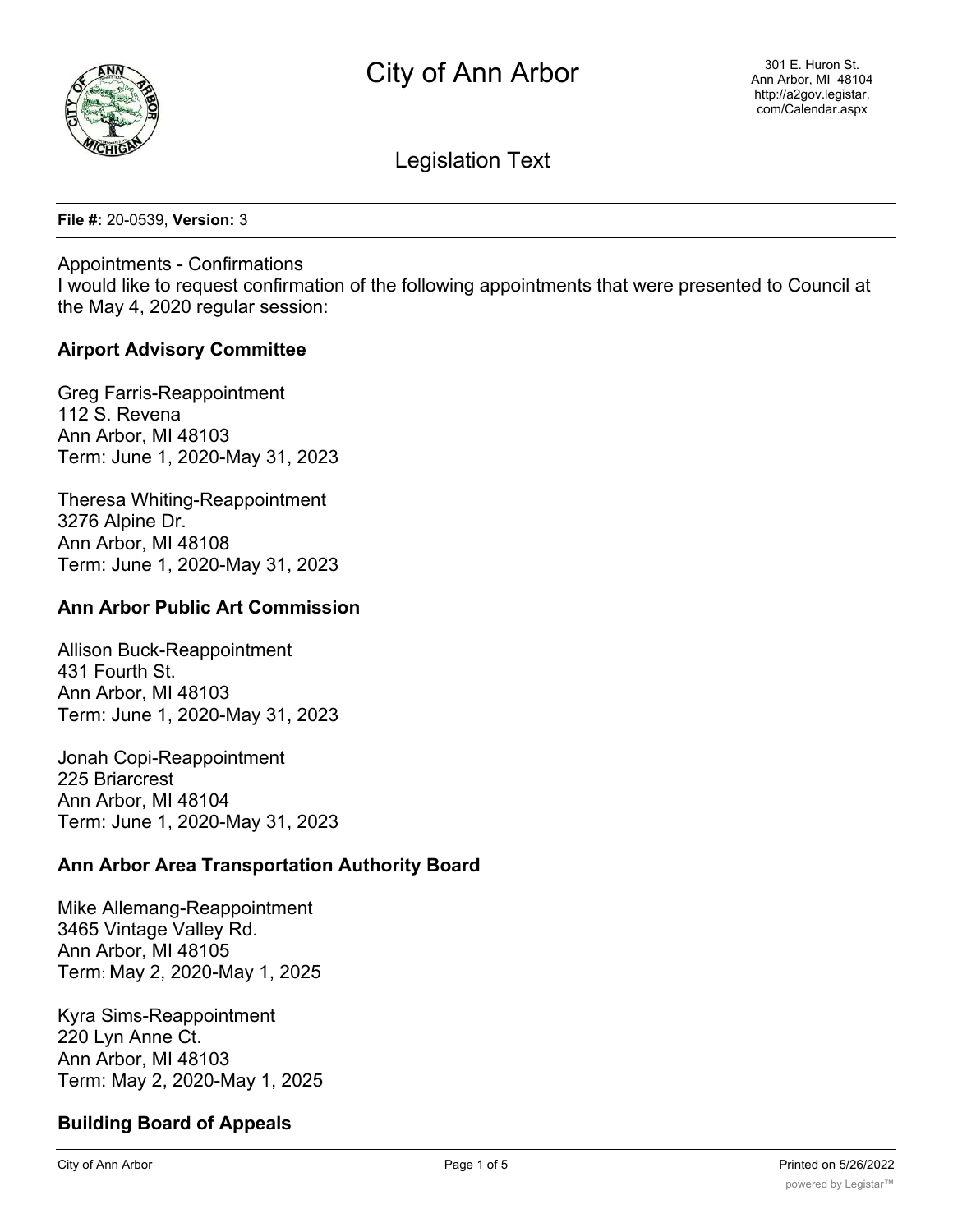

Legislation Text

**File #:** 20-0539, **Version:** 3

Appointments - Confirmations I would like to request confirmation of the following appointments that were presented to Council at the May 4, 2020 regular session:

## **Airport Advisory Committee**

Greg Farris-Reappointment 112 S. Revena Ann Arbor, MI 48103 Term: June 1, 2020-May 31, 2023

Theresa Whiting-Reappointment 3276 Alpine Dr. Ann Arbor, MI 48108 Term: June 1, 2020-May 31, 2023

## **Ann Arbor Public Art Commission**

Allison Buck-Reappointment 431 Fourth St. Ann Arbor, MI 48103 Term: June 1, 2020-May 31, 2023

Jonah Copi-Reappointment 225 Briarcrest Ann Arbor, MI 48104 Term: June 1, 2020-May 31, 2023

# **Ann Arbor Area Transportation Authority Board**

Mike Allemang-Reappointment 3465 Vintage Valley Rd. Ann Arbor, MI 48105 Term: May 2, 2020-May 1, 2025

Kyra Sims-Reappointment 220 Lyn Anne Ct. Ann Arbor, MI 48103 Term: May 2, 2020-May 1, 2025

# **Building Board of Appeals**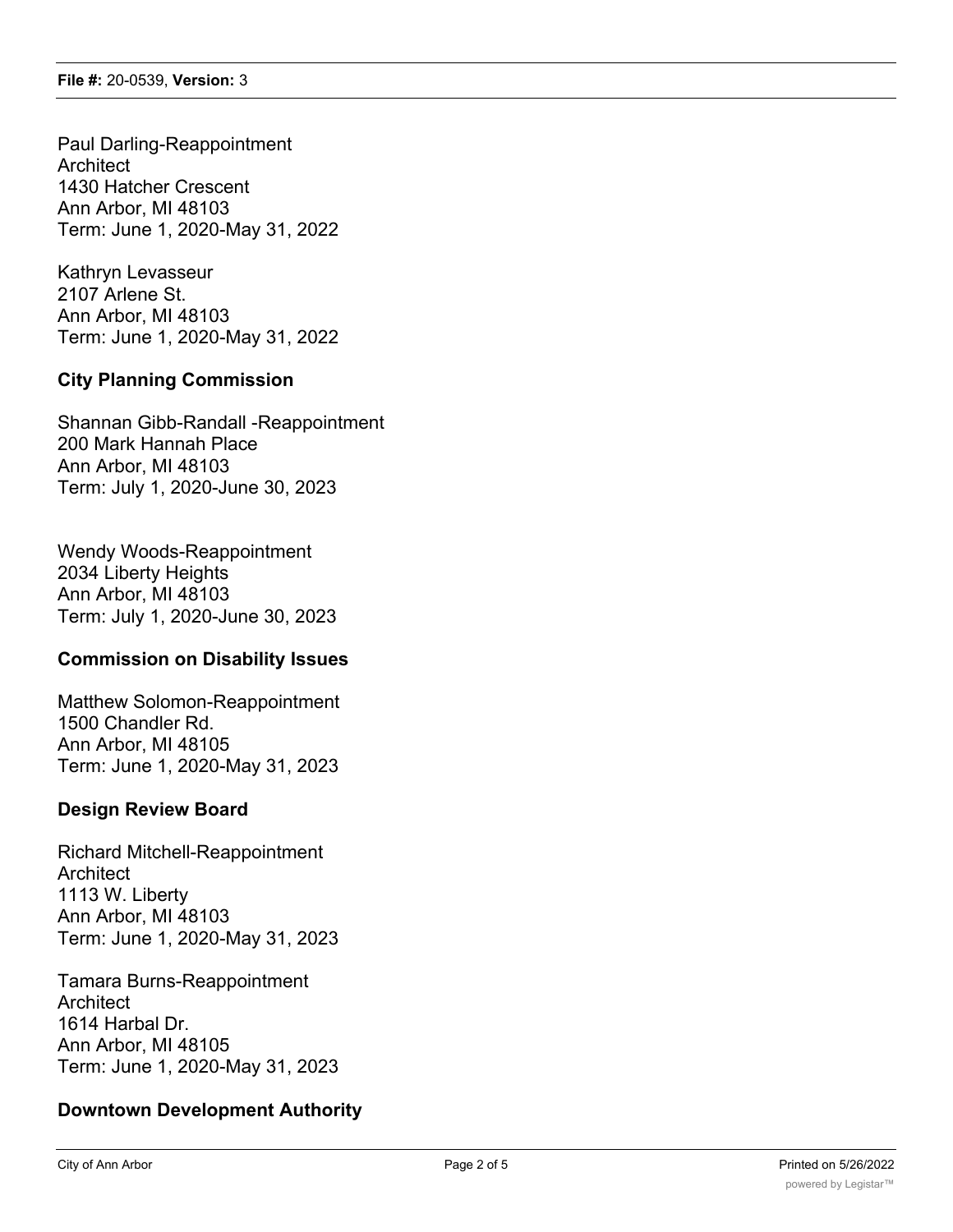Paul Darling-Reappointment **Architect** 1430 Hatcher Crescent Ann Arbor, MI 48103 Term: June 1, 2020-May 31, 2022

Kathryn Levasseur 2107 Arlene St. Ann Arbor, MI 48103 Term: June 1, 2020-May 31, 2022

## **City Planning Commission**

Shannan Gibb-Randall -Reappointment 200 Mark Hannah Place Ann Arbor, MI 48103 Term: July 1, 2020-June 30, 2023

Wendy Woods-Reappointment 2034 Liberty Heights Ann Arbor, MI 48103 Term: July 1, 2020-June 30, 2023

# **Commission on Disability Issues**

Matthew Solomon-Reappointment 1500 Chandler Rd. Ann Arbor, MI 48105 Term: June 1, 2020-May 31, 2023

### **Design Review Board**

Richard Mitchell-Reappointment **Architect** 1113 W. Liberty Ann Arbor, MI 48103 Term: June 1, 2020-May 31, 2023

Tamara Burns-Reappointment **Architect** 1614 Harbal Dr. Ann Arbor, MI 48105 Term: June 1, 2020-May 31, 2023

### **Downtown Development Authority**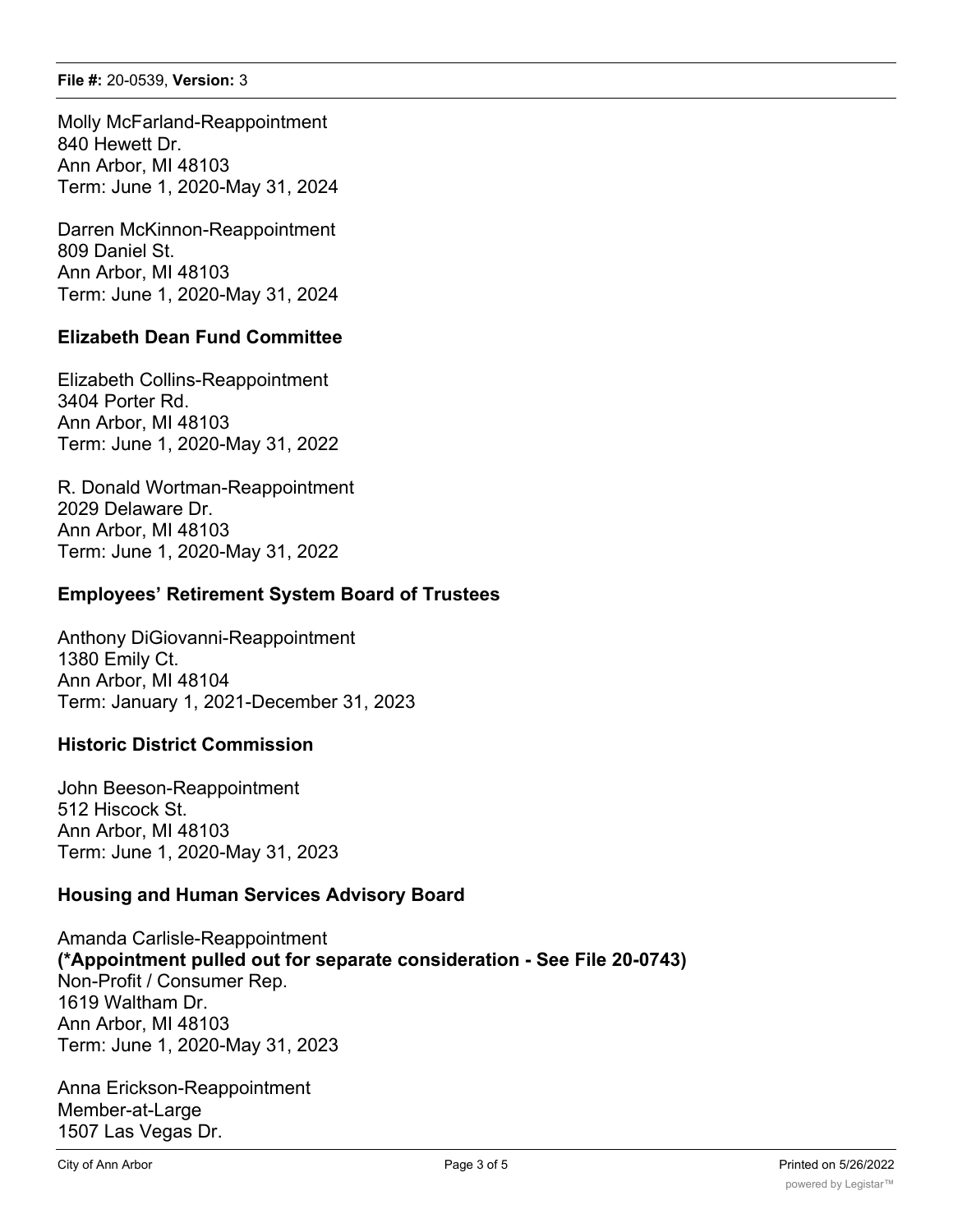Molly McFarland-Reappointment 840 Hewett Dr. Ann Arbor, MI 48103 Term: June 1, 2020-May 31, 2024

Darren McKinnon-Reappointment 809 Daniel St. Ann Arbor, MI 48103 Term: June 1, 2020-May 31, 2024

# **Elizabeth Dean Fund Committee**

Elizabeth Collins-Reappointment 3404 Porter Rd. Ann Arbor, MI 48103 Term: June 1, 2020-May 31, 2022

R. Donald Wortman-Reappointment 2029 Delaware Dr. Ann Arbor, MI 48103 Term: June 1, 2020-May 31, 2022

# **Employees' Retirement System Board of Trustees**

Anthony DiGiovanni-Reappointment 1380 Emily Ct. Ann Arbor, MI 48104 Term: January 1, 2021-December 31, 2023

### **Historic District Commission**

John Beeson-Reappointment 512 Hiscock St. Ann Arbor, MI 48103 Term: June 1, 2020-May 31, 2023

### **Housing and Human Services Advisory Board**

Amanda Carlisle-Reappointment **(\*Appointment pulled out for separate consideration - See File 20-0743)** Non-Profit / Consumer Rep. 1619 Waltham Dr. Ann Arbor, MI 48103 Term: June 1, 2020-May 31, 2023

Anna Erickson-Reappointment Member-at-Large 1507 Las Vegas Dr.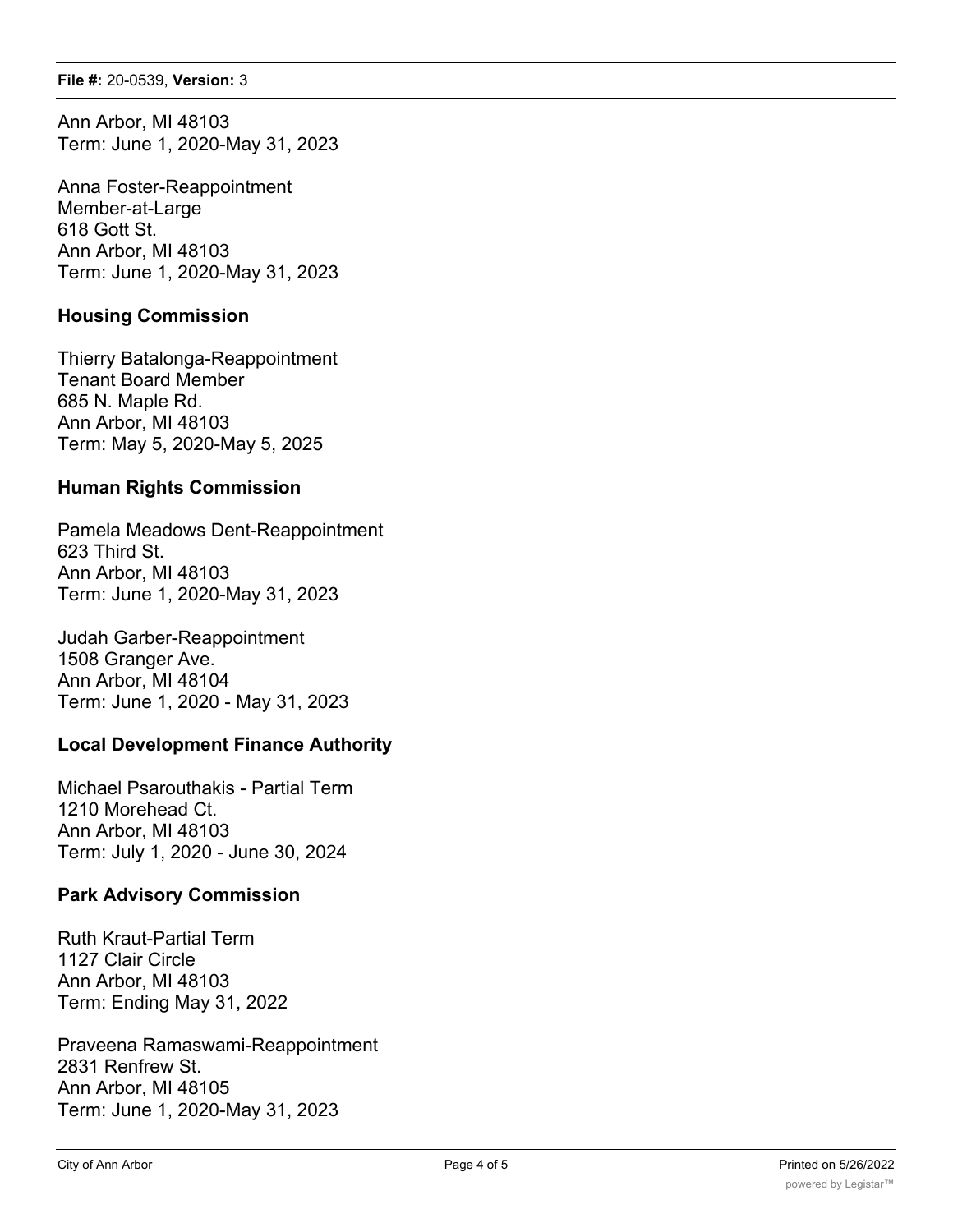Ann Arbor, MI 48103 Term: June 1, 2020-May 31, 2023

Anna Foster-Reappointment Member-at-Large 618 Gott St. Ann Arbor, MI 48103 Term: June 1, 2020-May 31, 2023

# **Housing Commission**

Thierry Batalonga-Reappointment Tenant Board Member 685 N. Maple Rd. Ann Arbor, MI 48103 Term: May 5, 2020-May 5, 2025

# **Human Rights Commission**

Pamela Meadows Dent-Reappointment 623 Third St. Ann Arbor, MI 48103 Term: June 1, 2020-May 31, 2023

Judah Garber-Reappointment 1508 Granger Ave. Ann Arbor, MI 48104 Term: June 1, 2020 - May 31, 2023

# **Local Development Finance Authority**

Michael Psarouthakis - Partial Term 1210 Morehead Ct. Ann Arbor, MI 48103 Term: July 1, 2020 - June 30, 2024

# **Park Advisory Commission**

Ruth Kraut-Partial Term 1127 Clair Circle Ann Arbor, MI 48103 Term: Ending May 31, 2022

Praveena Ramaswami-Reappointment 2831 Renfrew St. Ann Arbor, MI 48105 Term: June 1, 2020-May 31, 2023